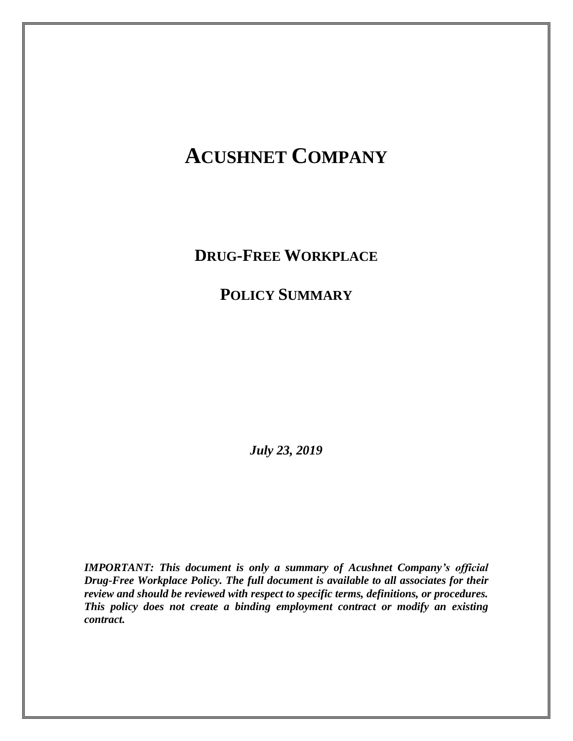# **ACUSHNET COMPANY**

**DRUG-FREE WORKPLACE** 

**POLICY SUMMARY**

*July 23, 2019*

*IMPORTANT: This document is only a summary of Acushnet Company's official Drug-Free Workplace Policy. The full document is available to all associates for their review and should be reviewed with respect to specific terms, definitions, or procedures. This policy does not create a binding employment contract or modify an existing contract.*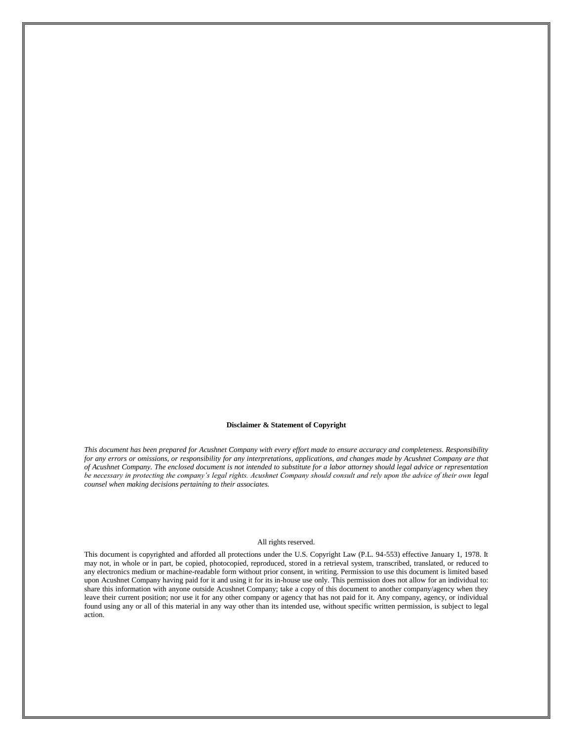#### **Disclaimer & Statement of Copyright**

*This document has been prepared for Acushnet Company with every effort made to ensure accuracy and completeness. Responsibility for any errors or omissions, or responsibility for any interpretations, applications, and changes made by Acushnet Company are that of Acushnet Company. The enclosed document is not intended to substitute for a labor attorney should legal advice or representation be necessary in protecting the company's legal rights. Acushnet Company should consult and rely upon the advice of their own legal counsel when making decisions pertaining to their associates.*

#### All rights reserved.

This document is copyrighted and afforded all protections under the U.S. Copyright Law (P.L. 94-553) effective January 1, 1978. It may not, in whole or in part, be copied, photocopied, reproduced, stored in a retrieval system, transcribed, translated, or reduced to any electronics medium or machine-readable form without prior consent, in writing. Permission to use this document is limited based upon Acushnet Company having paid for it and using it for its in-house use only. This permission does not allow for an individual to: share this information with anyone outside Acushnet Company; take a copy of this document to another company/agency when they leave their current position; nor use it for any other company or agency that has not paid for it. Any company, agency, or individual found using any or all of this material in any way other than its intended use, without specific written permission, is subject to legal action.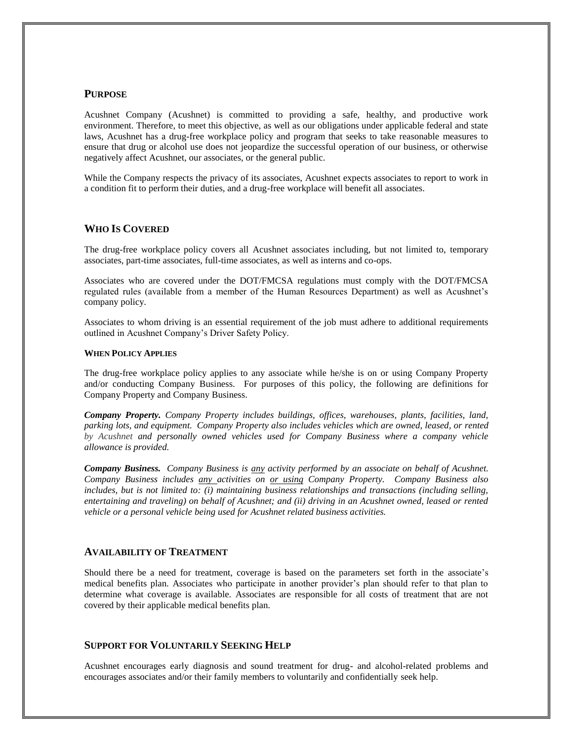## **PURPOSE**

Acushnet Company (Acushnet) is committed to providing a safe, healthy, and productive work environment. Therefore, to meet this objective, as well as our obligations under applicable federal and state laws, Acushnet has a drug-free workplace policy and program that seeks to take reasonable measures to ensure that drug or alcohol use does not jeopardize the successful operation of our business, or otherwise negatively affect Acushnet, our associates, or the general public.

While the Company respects the privacy of its associates, Acushnet expects associates to report to work in a condition fit to perform their duties, and a drug-free workplace will benefit all associates.

## **WHO IS COVERED**

The drug-free workplace policy covers all Acushnet associates including, but not limited to, temporary associates, part-time associates, full-time associates, as well as interns and co-ops.

Associates who are covered under the DOT/FMCSA regulations must comply with the DOT/FMCSA regulated rules (available from a member of the Human Resources Department) as well as Acushnet's company policy.

Associates to whom driving is an essential requirement of the job must adhere to additional requirements outlined in Acushnet Company's Driver Safety Policy.

#### **WHEN POLICY APPLIES**

The drug-free workplace policy applies to any associate while he/she is on or using Company Property and/or conducting Company Business. For purposes of this policy, the following are definitions for Company Property and Company Business.

*Company Property. Company Property includes buildings, offices, warehouses, plants, facilities, land, parking lots, and equipment. Company Property also includes vehicles which are owned, leased, or rented by Acushnet and personally owned vehicles used for Company Business where a company vehicle allowance is provided.*

*Company Business. Company Business is any activity performed by an associate on behalf of Acushnet. Company Business includes any activities on or using Company Property. Company Business also includes, but is not limited to: (i) maintaining business relationships and transactions (including selling, entertaining and traveling) on behalf of Acushnet; and (ii) driving in an Acushnet owned, leased or rented vehicle or a personal vehicle being used for Acushnet related business activities.* 

## **AVAILABILITY OF TREATMENT**

Should there be a need for treatment, coverage is based on the parameters set forth in the associate's medical benefits plan. Associates who participate in another provider's plan should refer to that plan to determine what coverage is available. Associates are responsible for all costs of treatment that are not covered by their applicable medical benefits plan.

## **SUPPORT FOR VOLUNTARILY SEEKING HELP**

Acushnet encourages early diagnosis and sound treatment for drug- and alcohol-related problems and encourages associates and/or their family members to voluntarily and confidentially seek help.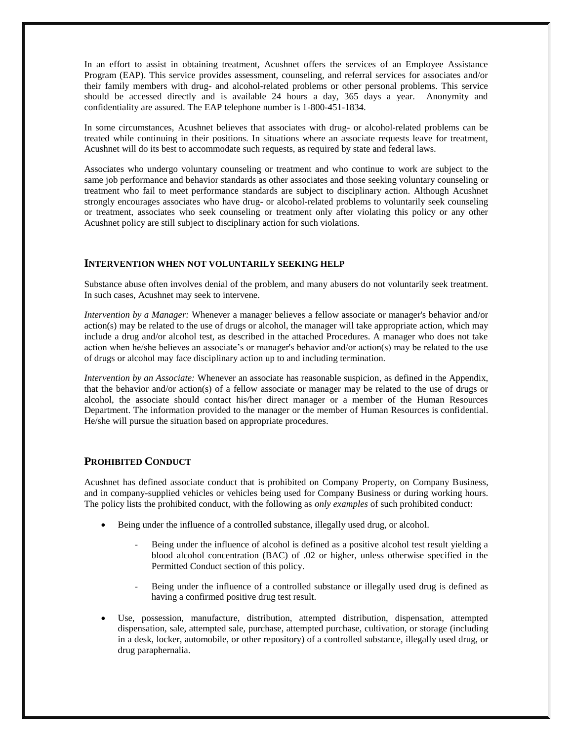In an effort to assist in obtaining treatment, Acushnet offers the services of an Employee Assistance Program (EAP). This service provides assessment, counseling, and referral services for associates and/or their family members with drug- and alcohol-related problems or other personal problems. This service should be accessed directly and is available 24 hours a day, 365 days a year. Anonymity and confidentiality are assured. The EAP telephone number is 1-800-451-1834.

In some circumstances, Acushnet believes that associates with drug- or alcohol-related problems can be treated while continuing in their positions. In situations where an associate requests leave for treatment, Acushnet will do its best to accommodate such requests, as required by state and federal laws.

Associates who undergo voluntary counseling or treatment and who continue to work are subject to the same job performance and behavior standards as other associates and those seeking voluntary counseling or treatment who fail to meet performance standards are subject to disciplinary action. Although Acushnet strongly encourages associates who have drug- or alcohol-related problems to voluntarily seek counseling or treatment, associates who seek counseling or treatment only after violating this policy or any other Acushnet policy are still subject to disciplinary action for such violations.

## **INTERVENTION WHEN NOT VOLUNTARILY SEEKING HELP**

Substance abuse often involves denial of the problem, and many abusers do not voluntarily seek treatment. In such cases, Acushnet may seek to intervene.

*Intervention by a Manager:* Whenever a manager believes a fellow associate or manager's behavior and/or action(s) may be related to the use of drugs or alcohol, the manager will take appropriate action, which may include a drug and/or alcohol test, as described in the attached Procedures. A manager who does not take action when he/she believes an associate's or manager's behavior and/or action(s) may be related to the use of drugs or alcohol may face disciplinary action up to and including termination.

*Intervention by an Associate:* Whenever an associate has reasonable suspicion, as defined in the Appendix, that the behavior and/or action(s) of a fellow associate or manager may be related to the use of drugs or alcohol, the associate should contact his/her direct manager or a member of the Human Resources Department. The information provided to the manager or the member of Human Resources is confidential. He/she will pursue the situation based on appropriate procedures.

## **PROHIBITED CONDUCT**

Acushnet has defined associate conduct that is prohibited on Company Property, on Company Business, and in company-supplied vehicles or vehicles being used for Company Business or during working hours. The policy lists the prohibited conduct, with the following as *only examples* of such prohibited conduct:

- Being under the influence of a controlled substance, illegally used drug, or alcohol.
	- Being under the influence of alcohol is defined as a positive alcohol test result yielding a blood alcohol concentration (BAC) of .02 or higher, unless otherwise specified in the Permitted Conduct section of this policy.
	- Being under the influence of a controlled substance or illegally used drug is defined as having a confirmed positive drug test result.
- Use, possession, manufacture, distribution, attempted distribution, dispensation, attempted dispensation, sale, attempted sale, purchase, attempted purchase, cultivation, or storage (including in a desk, locker, automobile, or other repository) of a controlled substance, illegally used drug, or drug paraphernalia.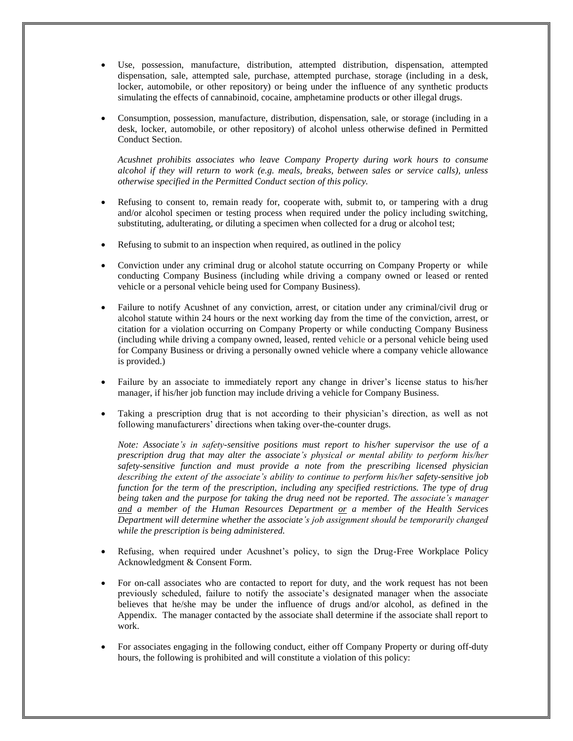- Use, possession, manufacture, distribution, attempted distribution, dispensation, attempted dispensation, sale, attempted sale, purchase, attempted purchase, storage (including in a desk, locker, automobile, or other repository) or being under the influence of any synthetic products simulating the effects of cannabinoid, cocaine, amphetamine products or other illegal drugs.
- Consumption, possession, manufacture, distribution, dispensation, sale, or storage (including in a desk, locker, automobile, or other repository) of alcohol unless otherwise defined in Permitted Conduct Section.

*Acushnet prohibits associates who leave Company Property during work hours to consume alcohol if they will return to work (e.g. meals, breaks, between sales or service calls), unless otherwise specified in the Permitted Conduct section of this policy.*

- Refusing to consent to, remain ready for, cooperate with, submit to, or tampering with a drug and/or alcohol specimen or testing process when required under the policy including switching, substituting, adulterating, or diluting a specimen when collected for a drug or alcohol test;
- Refusing to submit to an inspection when required, as outlined in the policy
- Conviction under any criminal drug or alcohol statute occurring on Company Property or while conducting Company Business (including while driving a company owned or leased or rented vehicle or a personal vehicle being used for Company Business).
- Failure to notify Acushnet of any conviction, arrest, or citation under any criminal/civil drug or alcohol statute within 24 hours or the next working day from the time of the conviction, arrest, or citation for a violation occurring on Company Property or while conducting Company Business (including while driving a company owned, leased, rented vehicle or a personal vehicle being used for Company Business or driving a personally owned vehicle where a company vehicle allowance is provided.)
- Failure by an associate to immediately report any change in driver's license status to his/her manager, if his/her job function may include driving a vehicle for Company Business.
- Taking a prescription drug that is not according to their physician's direction, as well as not following manufacturers' directions when taking over-the-counter drugs.

*Note: Associate's in safety-sensitive positions must report to his/her supervisor the use of a prescription drug that may alter the associate's physical or mental ability to perform his/her safety-sensitive function and must provide a note from the prescribing licensed physician describing the extent of the associate's ability to continue to perform his/her safety-sensitive job function for the term of the prescription, including any specified restrictions. The type of drug being taken and the purpose for taking the drug need not be reported. The associate's manager and a member of the Human Resources Department or a member of the Health Services Department will determine whether the associate's job assignment should be temporarily changed while the prescription is being administered.*

- Refusing, when required under Acushnet's policy, to sign the Drug-Free Workplace Policy Acknowledgment & Consent Form.
- For on-call associates who are contacted to report for duty, and the work request has not been previously scheduled, failure to notify the associate's designated manager when the associate believes that he/she may be under the influence of drugs and/or alcohol, as defined in the Appendix. The manager contacted by the associate shall determine if the associate shall report to work.
- For associates engaging in the following conduct, either off Company Property or during off-duty hours, the following is prohibited and will constitute a violation of this policy: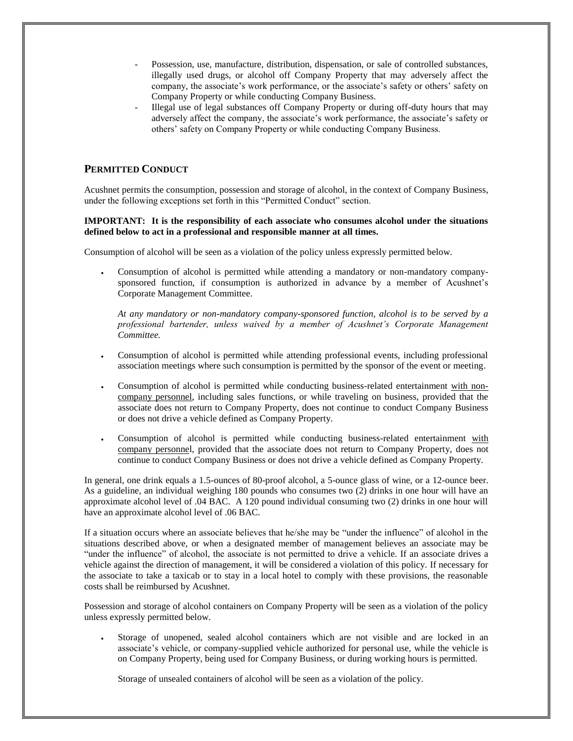- Possession, use, manufacture, distribution, dispensation, or sale of controlled substances, illegally used drugs, or alcohol off Company Property that may adversely affect the company, the associate's work performance, or the associate's safety or others' safety on Company Property or while conducting Company Business.
- Illegal use of legal substances off Company Property or during off-duty hours that may adversely affect the company, the associate's work performance, the associate's safety or others' safety on Company Property or while conducting Company Business.

## **PERMITTED CONDUCT**

Acushnet permits the consumption, possession and storage of alcohol, in the context of Company Business, under the following exceptions set forth in this "Permitted Conduct" section.

## **IMPORTANT: It is the responsibility of each associate who consumes alcohol under the situations defined below to act in a professional and responsible manner at all times.**

Consumption of alcohol will be seen as a violation of the policy unless expressly permitted below.

 Consumption of alcohol is permitted while attending a mandatory or non-mandatory companysponsored function, if consumption is authorized in advance by a member of Acushnet's Corporate Management Committee.

*At any mandatory or non-mandatory company-sponsored function, alcohol is to be served by a professional bartender, unless waived by a member of Acushnet's Corporate Management Committee.*

- Consumption of alcohol is permitted while attending professional events, including professional association meetings where such consumption is permitted by the sponsor of the event or meeting.
- Consumption of alcohol is permitted while conducting business-related entertainment with noncompany personnel, including sales functions, or while traveling on business, provided that the associate does not return to Company Property, does not continue to conduct Company Business or does not drive a vehicle defined as Company Property.
- Consumption of alcohol is permitted while conducting business-related entertainment with company personnel, provided that the associate does not return to Company Property, does not continue to conduct Company Business or does not drive a vehicle defined as Company Property.

In general, one drink equals a 1.5-ounces of 80-proof alcohol, a 5-ounce glass of wine, or a 12-ounce beer. As a guideline, an individual weighing 180 pounds who consumes two (2) drinks in one hour will have an approximate alcohol level of .04 BAC. A 120 pound individual consuming two (2) drinks in one hour will have an approximate alcohol level of .06 BAC.

If a situation occurs where an associate believes that he/she may be "under the influence" of alcohol in the situations described above, or when a designated member of management believes an associate may be "under the influence" of alcohol, the associate is not permitted to drive a vehicle. If an associate drives a vehicle against the direction of management, it will be considered a violation of this policy. If necessary for the associate to take a taxicab or to stay in a local hotel to comply with these provisions, the reasonable costs shall be reimbursed by Acushnet.

Possession and storage of alcohol containers on Company Property will be seen as a violation of the policy unless expressly permitted below.

 Storage of unopened, sealed alcohol containers which are not visible and are locked in an associate's vehicle, or company-supplied vehicle authorized for personal use, while the vehicle is on Company Property, being used for Company Business, or during working hours is permitted.

Storage of unsealed containers of alcohol will be seen as a violation of the policy.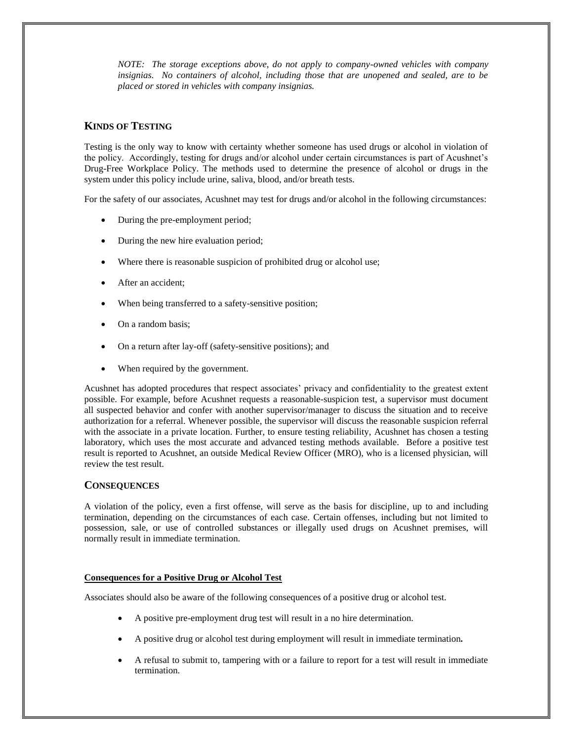*NOTE: The storage exceptions above, do not apply to company-owned vehicles with company insignias. No containers of alcohol, including those that are unopened and sealed, are to be placed or stored in vehicles with company insignias.*

## **KINDS OF TESTING**

Testing is the only way to know with certainty whether someone has used drugs or alcohol in violation of the policy. Accordingly, testing for drugs and/or alcohol under certain circumstances is part of Acushnet's Drug-Free Workplace Policy. The methods used to determine the presence of alcohol or drugs in the system under this policy include urine, saliva, blood, and/or breath tests.

For the safety of our associates, Acushnet may test for drugs and/or alcohol in the following circumstances:

- During the pre-employment period;
- During the new hire evaluation period;
- Where there is reasonable suspicion of prohibited drug or alcohol use;
- After an accident;
- When being transferred to a safety-sensitive position;
- On a random basis;
- On a return after lay-off (safety-sensitive positions); and
- When required by the government.

Acushnet has adopted procedures that respect associates' privacy and confidentiality to the greatest extent possible. For example, before Acushnet requests a reasonable-suspicion test, a supervisor must document all suspected behavior and confer with another supervisor/manager to discuss the situation and to receive authorization for a referral. Whenever possible, the supervisor will discuss the reasonable suspicion referral with the associate in a private location. Further, to ensure testing reliability, Acushnet has chosen a testing laboratory, which uses the most accurate and advanced testing methods available. Before a positive test result is reported to Acushnet, an outside Medical Review Officer (MRO), who is a licensed physician, will review the test result.

## **CONSEQUENCES**

A violation of the policy, even a first offense, will serve as the basis for discipline, up to and including termination, depending on the circumstances of each case. Certain offenses, including but not limited to possession, sale, or use of controlled substances or illegally used drugs on Acushnet premises, will normally result in immediate termination.

#### **Consequences for a Positive Drug or Alcohol Test**

Associates should also be aware of the following consequences of a positive drug or alcohol test.

- A positive pre-employment drug test will result in a no hire determination.
- A positive drug or alcohol test during employment will result in immediate termination*.*
- A refusal to submit to, tampering with or a failure to report for a test will result in immediate termination.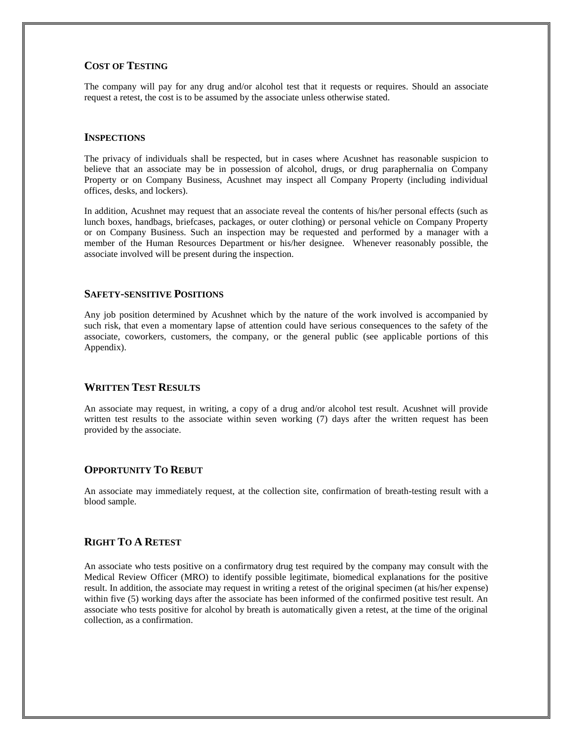## **COST OF TESTING**

The company will pay for any drug and/or alcohol test that it requests or requires. Should an associate request a retest, the cost is to be assumed by the associate unless otherwise stated.

#### **INSPECTIONS**

The privacy of individuals shall be respected, but in cases where Acushnet has reasonable suspicion to believe that an associate may be in possession of alcohol, drugs, or drug paraphernalia on Company Property or on Company Business, Acushnet may inspect all Company Property (including individual offices, desks, and lockers).

In addition, Acushnet may request that an associate reveal the contents of his/her personal effects (such as lunch boxes, handbags, briefcases, packages, or outer clothing) or personal vehicle on Company Property or on Company Business. Such an inspection may be requested and performed by a manager with a member of the Human Resources Department or his/her designee. Whenever reasonably possible, the associate involved will be present during the inspection.

#### **SAFETY-SENSITIVE POSITIONS**

Any job position determined by Acushnet which by the nature of the work involved is accompanied by such risk, that even a momentary lapse of attention could have serious consequences to the safety of the associate, coworkers, customers, the company, or the general public (see applicable portions of this Appendix).

## **WRITTEN TEST RESULTS**

An associate may request, in writing, a copy of a drug and/or alcohol test result. Acushnet will provide written test results to the associate within seven working (7) days after the written request has been provided by the associate.

## **OPPORTUNITY TO REBUT**

An associate may immediately request, at the collection site, confirmation of breath-testing result with a blood sample.

## **RIGHT TO A RETEST**

An associate who tests positive on a confirmatory drug test required by the company may consult with the Medical Review Officer (MRO) to identify possible legitimate, biomedical explanations for the positive result. In addition, the associate may request in writing a retest of the original specimen (at his/her expense) within five (5) working days after the associate has been informed of the confirmed positive test result. An associate who tests positive for alcohol by breath is automatically given a retest, at the time of the original collection, as a confirmation.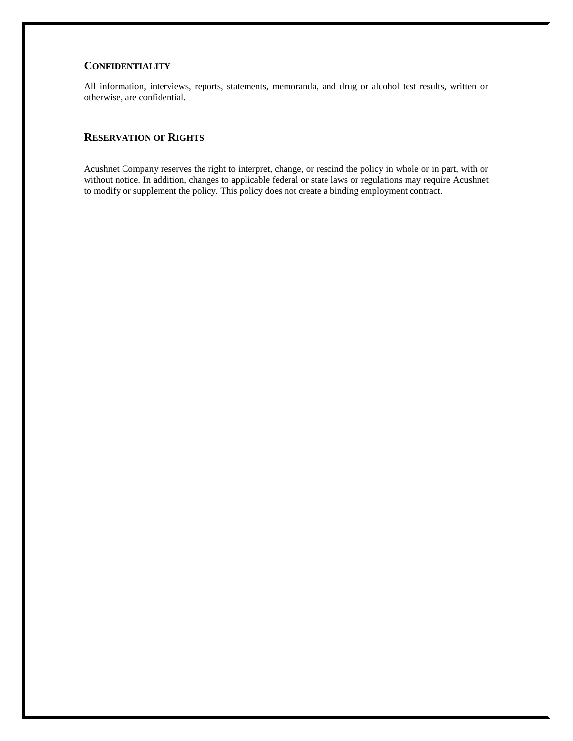## **CONFIDENTIALITY**

All information, interviews, reports, statements, memoranda, and drug or alcohol test results, written or otherwise, are confidential.

## **RESERVATION OF RIGHTS**

Acushnet Company reserves the right to interpret, change, or rescind the policy in whole or in part, with or without notice. In addition, changes to applicable federal or state laws or regulations may require Acushnet to modify or supplement the policy. This policy does not create a binding employment contract.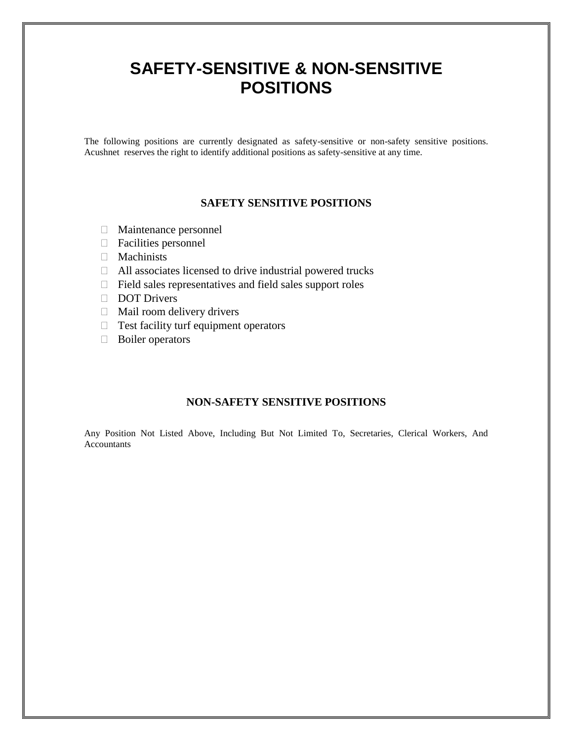## **SAFETY-SENSITIVE & NON-SENSITIVE POSITIONS**

The following positions are currently designated as safety-sensitive or non-safety sensitive positions. Acushnet reserves the right to identify additional positions as safety-sensitive at any time.

## **SAFETY SENSITIVE POSITIONS**

- Maintenance personnel
- Facilities personnel
- $\Box$  Machinists
- All associates licensed to drive industrial powered trucks
- $\Box$  Field sales representatives and field sales support roles
- DOT Drivers
- $\Box$  Mail room delivery drivers
- $\Box$  Test facility turf equipment operators
- Boiler operators

## **NON-SAFETY SENSITIVE POSITIONS**

Any Position Not Listed Above, Including But Not Limited To, Secretaries, Clerical Workers, And Accountants